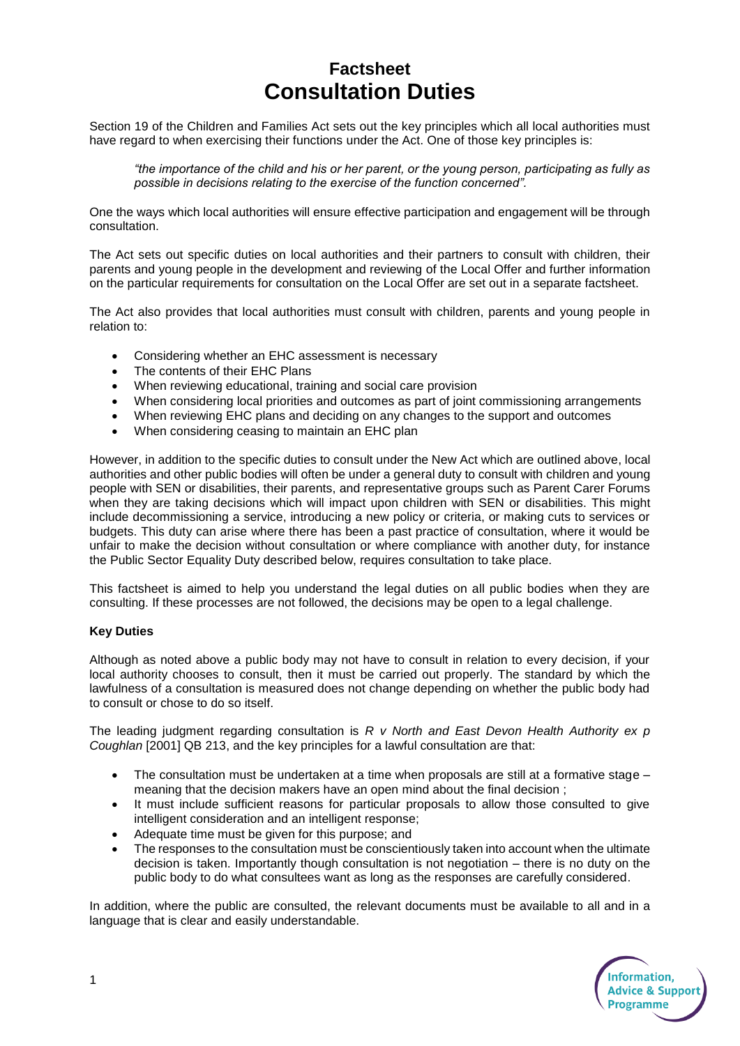## **Factsheet Consultation Duties**

Section 19 of the Children and Families Act sets out the key principles which all local authorities must have regard to when exercising their functions under the Act. One of those key principles is:

*"the importance of the child and his or her parent, or the young person, participating as fully as possible in decisions relating to the exercise of the function concerned".*

One the ways which local authorities will ensure effective participation and engagement will be through consultation.

The Act sets out specific duties on local authorities and their partners to consult with children, their parents and young people in the development and reviewing of the Local Offer and further information on the particular requirements for consultation on the Local Offer are set out in a separate factsheet.

The Act also provides that local authorities must consult with children, parents and young people in relation to:

- Considering whether an EHC assessment is necessary
- The contents of their EHC Plans
- When reviewing educational, training and social care provision
- When considering local priorities and outcomes as part of joint commissioning arrangements
- When reviewing EHC plans and deciding on any changes to the support and outcomes
- When considering ceasing to maintain an EHC plan

However, in addition to the specific duties to consult under the New Act which are outlined above, local authorities and other public bodies will often be under a general duty to consult with children and young people with SEN or disabilities, their parents, and representative groups such as Parent Carer Forums when they are taking decisions which will impact upon children with SEN or disabilities. This might include decommissioning a service, introducing a new policy or criteria, or making cuts to services or budgets. This duty can arise where there has been a past practice of consultation, where it would be unfair to make the decision without consultation or where compliance with another duty, for instance the Public Sector Equality Duty described below, requires consultation to take place.

This factsheet is aimed to help you understand the legal duties on all public bodies when they are consulting. If these processes are not followed, the decisions may be open to a legal challenge.

## **Key Duties**

Although as noted above a public body may not have to consult in relation to every decision, if your local authority chooses to consult, then it must be carried out properly. The standard by which the lawfulness of a consultation is measured does not change depending on whether the public body had to consult or chose to do so itself.

The leading judgment regarding consultation is *R v North and East Devon Health Authority ex p Coughlan* [2001] QB 213, and the key principles for a lawful consultation are that:

- $\bullet$  The consultation must be undertaken at a time when proposals are still at a formative stage meaning that the decision makers have an open mind about the final decision ;
- It must include sufficient reasons for particular proposals to allow those consulted to give intelligent consideration and an intelligent response;
- Adequate time must be given for this purpose; and
- The responses to the consultation must be conscientiously taken into account when the ultimate decision is taken. Importantly though consultation is not negotiation – there is no duty on the public body to do what consultees want as long as the responses are carefully considered.

In addition, where the public are consulted, the relevant documents must be available to all and in a language that is clear and easily understandable.